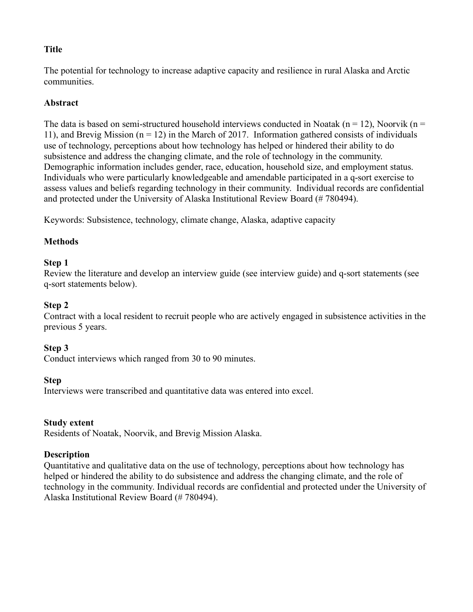## **Title**

The potential for technology to increase adaptive capacity and resilience in rural Alaska and Arctic communities.

## **Abstract**

The data is based on semi-structured household interviews conducted in Noatak ( $n = 12$ ), Noorvik ( $n =$ 11), and Brevig Mission ( $n = 12$ ) in the March of 2017. Information gathered consists of individuals use of technology, perceptions about how technology has helped or hindered their ability to do subsistence and address the changing climate, and the role of technology in the community. Demographic information includes gender, race, education, household size, and employment status. Individuals who were particularly knowledgeable and amendable participated in a q-sort exercise to assess values and beliefs regarding technology in their community. Individual records are confidential and protected under the University of Alaska Institutional Review Board (# 780494).

Keywords: Subsistence, technology, climate change, Alaska, adaptive capacity

### **Methods**

#### **Step 1**

Review the literature and develop an interview guide (see interview guide) and q-sort statements (see q-sort statements below).

### **Step 2**

Contract with a local resident to recruit people who are actively engaged in subsistence activities in the previous 5 years.

### **Step 3**

Conduct interviews which ranged from 30 to 90 minutes.

#### **Step**

Interviews were transcribed and quantitative data was entered into excel.

#### **Study extent**

Residents of Noatak, Noorvik, and Brevig Mission Alaska.

### **Description**

Quantitative and qualitative data on the use of technology, perceptions about how technology has helped or hindered the ability to do subsistence and address the changing climate, and the role of technology in the community. Individual records are confidential and protected under the University of Alaska Institutional Review Board (# 780494).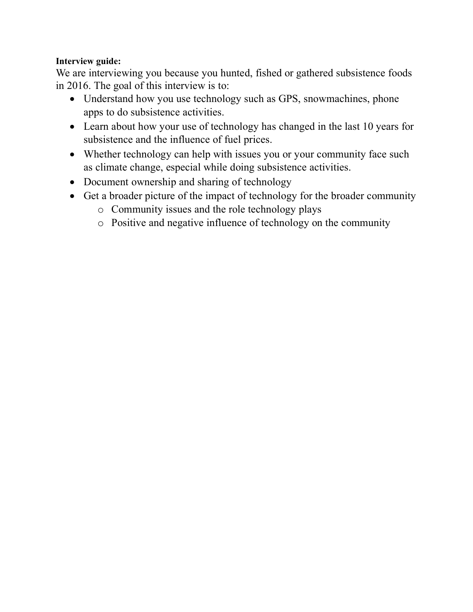# **Interview guide:**

We are interviewing you because you hunted, fished or gathered subsistence foods in 2016. The goal of this interview is to:

- Understand how you use technology such as GPS, snowmachines, phone apps to do subsistence activities.
- Learn about how your use of technology has changed in the last 10 years for subsistence and the influence of fuel prices.
- Whether technology can help with issues you or your community face such as climate change, especial while doing subsistence activities.
- Document ownership and sharing of technology
- Get a broader picture of the impact of technology for the broader community
	- o Community issues and the role technology plays
	- o Positive and negative influence of technology on the community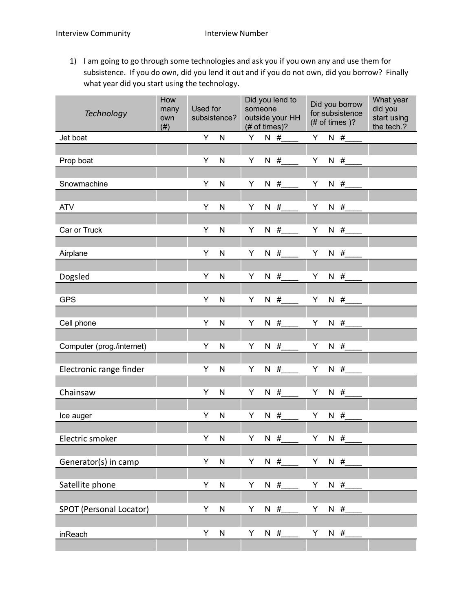1) I am going to go through some technologies and ask you if you own any and use them for subsistence. If you do own, did you lend it out and if you do not own, did you borrow? Finally what year did you start using the technology.

| <b>Technology</b>         | How<br>many<br>own<br>(# ) | Used for | subsistence? | someone<br>(# of times)? |       | Did you lend to<br>outside your HH |    |   | Did you borrow<br>for subsistence<br>$#$ of times $)?$ | What year<br>did you<br>start using<br>the tech.? |
|---------------------------|----------------------------|----------|--------------|--------------------------|-------|------------------------------------|----|---|--------------------------------------------------------|---------------------------------------------------|
| Jet boat                  |                            | Y        | $\mathsf{N}$ | Y                        |       | N#                                 | Y  |   | $N$ #                                                  |                                                   |
|                           |                            | Υ        | N            | Υ                        |       |                                    | Υ  |   |                                                        |                                                   |
| Prop boat                 |                            |          |              |                          | $N$ # |                                    |    | N | #                                                      |                                                   |
| Snowmachine               |                            | Υ        | N            | Υ                        | $N$ # |                                    | Υ  | N | #                                                      |                                                   |
|                           |                            |          |              |                          |       |                                    |    |   |                                                        |                                                   |
| <b>ATV</b>                |                            | Υ        | N            | Υ                        | N.    | #                                  | Υ  | N | #                                                      |                                                   |
|                           |                            |          |              |                          |       |                                    |    |   |                                                        |                                                   |
| Car or Truck              |                            | Υ        | $\mathsf{N}$ | Υ                        |       | $N$ #                              | Υ  |   | $N$ #                                                  |                                                   |
| Airplane                  |                            | Υ        | N            | Υ                        |       | $N$ #                              | Υ  | N | #                                                      |                                                   |
|                           |                            |          |              |                          |       |                                    |    |   |                                                        |                                                   |
| Dogsled                   |                            | Υ        | N            | Υ                        |       | N $#$                              | Υ  |   | N $#$                                                  |                                                   |
|                           |                            |          |              |                          |       |                                    |    |   |                                                        |                                                   |
| <b>GPS</b>                |                            | Υ        | N            | Υ                        |       | $N$ #                              | Υ  |   | $N$ #                                                  |                                                   |
|                           |                            |          |              |                          |       |                                    |    |   |                                                        |                                                   |
| Cell phone                |                            | Υ        | N            | Υ                        | N $#$ |                                    | Υ  |   | N $#$                                                  |                                                   |
| Computer (prog./internet) |                            | Y        | N            | Υ                        | $N$ # |                                    | Υ  | N | #                                                      |                                                   |
|                           |                            |          |              |                          |       |                                    |    |   |                                                        |                                                   |
| Electronic range finder   |                            | Υ        | N            | Υ                        | N $#$ |                                    | Υ  | N | #                                                      |                                                   |
|                           |                            |          |              |                          |       |                                    |    |   |                                                        |                                                   |
| Chainsaw                  |                            | Υ        | N            | Υ                        | N.    | #                                  | Υ  | N | #                                                      |                                                   |
|                           |                            | Υ        | N            | Υ                        | $N$ # |                                    | Υ  |   | N $#$                                                  |                                                   |
| Ice auger                 |                            |          |              |                          |       |                                    |    |   |                                                        |                                                   |
| Electric smoker           |                            | Y.       | N            | Y.                       | N#    |                                    | Y. |   | N#                                                     |                                                   |
|                           |                            |          |              |                          |       |                                    |    |   |                                                        |                                                   |
| Generator(s) in camp      |                            | Υ        | ${\sf N}$    | Υ                        |       | $N$ #                              | Υ  |   | $N$ #                                                  |                                                   |
|                           |                            |          |              |                          |       |                                    |    |   |                                                        |                                                   |
| Satellite phone           |                            | Υ        | $\mathsf{N}$ | Υ                        | $N$ # |                                    | Υ  |   | $N$ #                                                  |                                                   |
|                           |                            |          |              |                          |       |                                    |    |   |                                                        |                                                   |
| SPOT (Personal Locator)   |                            | Υ        | ${\sf N}$    | Υ                        | $N$ # |                                    | Υ  |   | $N$ #                                                  |                                                   |
| inReach                   |                            | Υ        | ${\sf N}$    | Υ                        | $N$ # |                                    | Υ  |   | $N$ #                                                  |                                                   |
|                           |                            |          |              |                          |       |                                    |    |   |                                                        |                                                   |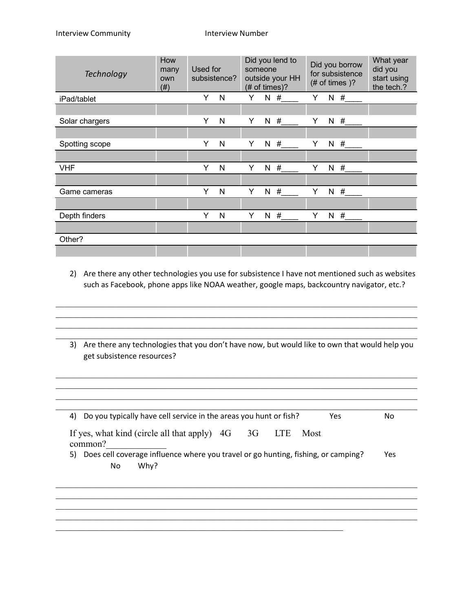| <b>Technology</b> | How<br>many<br>own<br>(# ) | Used for | subsistence? |   | Did you lend to<br>someone<br>outside your HH<br>$#$ of times)? |   | Did you borrow<br>for subsistence<br>$#$ of times $)?$ | What year<br>did you<br>start using<br>the tech.? |
|-------------------|----------------------------|----------|--------------|---|-----------------------------------------------------------------|---|--------------------------------------------------------|---------------------------------------------------|
| iPad/tablet       |                            | Y        | N            | Υ | N#                                                              | Y | N#                                                     |                                                   |
|                   |                            |          |              |   |                                                                 |   |                                                        |                                                   |
| Solar chargers    |                            | Y        | N            | Υ | N#                                                              | Y | N#                                                     |                                                   |
|                   |                            |          |              |   |                                                                 |   |                                                        |                                                   |
| Spotting scope    |                            | Y        | N            | Y | N#                                                              | Y | N#                                                     |                                                   |
|                   |                            |          |              |   |                                                                 |   |                                                        |                                                   |
| <b>VHF</b>        |                            | Y        | N            | Y | N#                                                              | Y | N#                                                     |                                                   |
|                   |                            |          |              |   |                                                                 |   |                                                        |                                                   |
| Game cameras      |                            | Y        | N            | Y | N<br>#                                                          | Y | #<br>N                                                 |                                                   |
|                   |                            |          |              |   |                                                                 |   |                                                        |                                                   |
| Depth finders     |                            | Y        | N            | Υ | N#                                                              | Y | N#                                                     |                                                   |
|                   |                            |          |              |   |                                                                 |   |                                                        |                                                   |
| Other?            |                            |          |              |   |                                                                 |   |                                                        |                                                   |
|                   |                            |          |              |   |                                                                 |   |                                                        |                                                   |

2) Are there any other technologies you use for subsistence I have not mentioned such as websites such as Facebook, phone apps like NOAA weather, google maps, backcountry navigator, etc.?

 $\_$  , and the contribution of the contribution of the contribution of the contribution of  $\mathcal{L}_\text{max}$  $\_$  , and the contribution of the contribution of the contribution of the contribution of  $\mathcal{L}_\text{max}$  $\_$  , and the contribution of the contribution of the contribution of the contribution of  $\mathcal{L}_\text{max}$  $\mathcal{L}_\mathcal{L} = \{ \mathcal{L}_\mathcal{L} = \{ \mathcal{L}_\mathcal{L} = \{ \mathcal{L}_\mathcal{L} = \{ \mathcal{L}_\mathcal{L} = \{ \mathcal{L}_\mathcal{L} = \{ \mathcal{L}_\mathcal{L} = \{ \mathcal{L}_\mathcal{L} = \{ \mathcal{L}_\mathcal{L} = \{ \mathcal{L}_\mathcal{L} = \{ \mathcal{L}_\mathcal{L} = \{ \mathcal{L}_\mathcal{L} = \{ \mathcal{L}_\mathcal{L} = \{ \mathcal{L}_\mathcal{L} = \{ \mathcal{L}_\mathcal{$ 

3) Are there any technologies that you don't have now, but would like to own that would help you get subsistence resources?

 $\_$  , and the contribution of the contribution of the contribution of the contribution of  $\mathcal{L}_\text{max}$  $\mathcal{L}_\mathcal{L} = \{ \mathcal{L}_\mathcal{L} = \{ \mathcal{L}_\mathcal{L} = \{ \mathcal{L}_\mathcal{L} = \{ \mathcal{L}_\mathcal{L} = \{ \mathcal{L}_\mathcal{L} = \{ \mathcal{L}_\mathcal{L} = \{ \mathcal{L}_\mathcal{L} = \{ \mathcal{L}_\mathcal{L} = \{ \mathcal{L}_\mathcal{L} = \{ \mathcal{L}_\mathcal{L} = \{ \mathcal{L}_\mathcal{L} = \{ \mathcal{L}_\mathcal{L} = \{ \mathcal{L}_\mathcal{L} = \{ \mathcal{L}_\mathcal{$  $\_$  , and the contribution of the contribution of the contribution of the contribution of  $\mathcal{L}_\text{max}$ 

| Do you typically have cell service in the areas you hunt or fish?<br>4)<br>Yes.                       | No. |
|-------------------------------------------------------------------------------------------------------|-----|
| If yes, what kind (circle all that apply) $4G = 3G$<br><b>LTE</b><br>Most<br>common?                  |     |
| Does cell coverage influence where you travel or go hunting, fishing, or camping?<br>5)<br>Why?<br>No | Yes |
|                                                                                                       |     |
|                                                                                                       |     |

 $\_$  , and the contribution of the contribution of the contribution of the contribution of  $\mathcal{L}_\text{max}$ 

 $\mathcal{L}_\text{max}$  , and the contribution of the contribution of the contribution of the contribution of the contribution of the contribution of the contribution of the contribution of the contribution of the contribution of t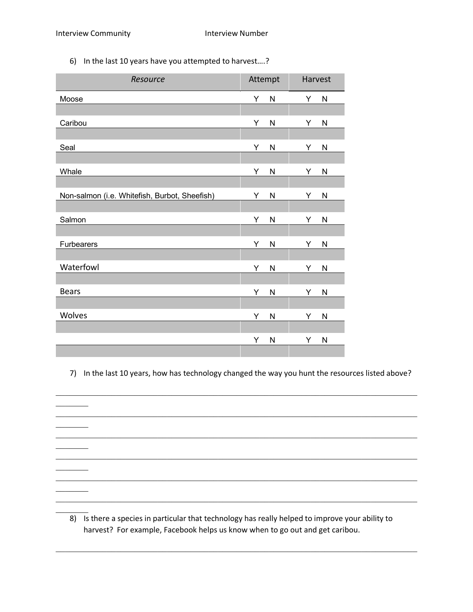$\overline{\phantom{a}}$ 

 $\overline{\phantom{a}}$ 

 $\overline{\phantom{a}}$ 

 $\overline{\phantom{a}}$ 

 $\overline{\phantom{a}}$ 

 $\frac{1}{2}$ 

6) In the last 10 years have you attempted to harvest….?

| Resource                                      | Attempt        | Harvest           |
|-----------------------------------------------|----------------|-------------------|
| Moose                                         | Υ<br>N         | Υ<br>${\sf N}$    |
|                                               |                |                   |
| Caribou                                       | Υ<br>N         | Υ<br>$\mathsf{N}$ |
|                                               |                |                   |
| Seal                                          | Υ<br>N         | Υ<br>${\sf N}$    |
|                                               |                |                   |
| Whale                                         | Υ<br>${\sf N}$ | ${\sf N}$<br>Υ    |
|                                               |                |                   |
| Non-salmon (i.e. Whitefish, Burbot, Sheefish) | Υ<br>N         | Υ<br>$\mathsf{N}$ |
| Salmon                                        | Υ<br>${\sf N}$ | Υ<br>$\mathsf{N}$ |
|                                               |                |                   |
| Furbearers                                    | Υ<br>N         | Y<br>${\sf N}$    |
|                                               |                |                   |
| Waterfowl                                     | Υ<br>N         | Υ<br>$\mathsf{N}$ |
|                                               |                |                   |
| <b>Bears</b>                                  | Υ<br>N         | Υ<br>$\mathsf{N}$ |
|                                               |                |                   |
| Wolves                                        | Υ<br>${\sf N}$ | Υ<br>${\sf N}$    |
|                                               |                |                   |
|                                               | Υ<br>N         | Υ<br>$\mathsf{N}$ |

7) In the last 10 years, how has technology changed the way you hunt the resources listed above?

 $\mathcal{L}_\mathcal{L} = \{ \mathcal{L}_\mathcal{L} = \{ \mathcal{L}_\mathcal{L} = \{ \mathcal{L}_\mathcal{L} = \{ \mathcal{L}_\mathcal{L} = \{ \mathcal{L}_\mathcal{L} = \{ \mathcal{L}_\mathcal{L} = \{ \mathcal{L}_\mathcal{L} = \{ \mathcal{L}_\mathcal{L} = \{ \mathcal{L}_\mathcal{L} = \{ \mathcal{L}_\mathcal{L} = \{ \mathcal{L}_\mathcal{L} = \{ \mathcal{L}_\mathcal{L} = \{ \mathcal{L}_\mathcal{L} = \{ \mathcal{L}_\mathcal{$ 

 $\_$  , and the contribution of the contribution of the contribution of the contribution of  $\mathcal{L}_\text{max}$ 

 $\_$  , and the contribution of the contribution of the contribution of the contribution of  $\mathcal{L}_\text{max}$ 

 $\mathcal{L}_\mathcal{L} = \{ \mathcal{L}_\mathcal{L} = \{ \mathcal{L}_\mathcal{L} = \{ \mathcal{L}_\mathcal{L} = \{ \mathcal{L}_\mathcal{L} = \{ \mathcal{L}_\mathcal{L} = \{ \mathcal{L}_\mathcal{L} = \{ \mathcal{L}_\mathcal{L} = \{ \mathcal{L}_\mathcal{L} = \{ \mathcal{L}_\mathcal{L} = \{ \mathcal{L}_\mathcal{L} = \{ \mathcal{L}_\mathcal{L} = \{ \mathcal{L}_\mathcal{L} = \{ \mathcal{L}_\mathcal{L} = \{ \mathcal{L}_\mathcal{$ 

 $\_$  , and the contribution of the contribution of the contribution of the contribution of  $\mathcal{L}_\text{max}$ 

 $\mathcal{L}_\mathcal{L} = \{ \mathcal{L}_\mathcal{L} = \{ \mathcal{L}_\mathcal{L} = \{ \mathcal{L}_\mathcal{L} = \{ \mathcal{L}_\mathcal{L} = \{ \mathcal{L}_\mathcal{L} = \{ \mathcal{L}_\mathcal{L} = \{ \mathcal{L}_\mathcal{L} = \{ \mathcal{L}_\mathcal{L} = \{ \mathcal{L}_\mathcal{L} = \{ \mathcal{L}_\mathcal{L} = \{ \mathcal{L}_\mathcal{L} = \{ \mathcal{L}_\mathcal{L} = \{ \mathcal{L}_\mathcal{L} = \{ \mathcal{L}_\mathcal{$ 

 $\_$  , and the contribution of the contribution of the contribution of the contribution of  $\mathcal{L}_\text{max}$ 

8) Is there a species in particular that technology has really helped to improve your ability to harvest? For example, Facebook helps us know when to go out and get caribou.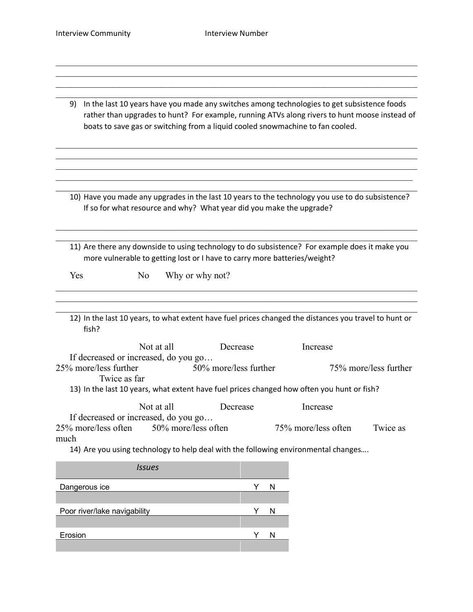$\_$  , and the contribution of the contribution of the contribution of the contribution of  $\mathcal{L}_\text{max}$  $\mathcal{L}_\mathcal{L} = \{ \mathcal{L}_\mathcal{L} = \{ \mathcal{L}_\mathcal{L} = \{ \mathcal{L}_\mathcal{L} = \{ \mathcal{L}_\mathcal{L} = \{ \mathcal{L}_\mathcal{L} = \{ \mathcal{L}_\mathcal{L} = \{ \mathcal{L}_\mathcal{L} = \{ \mathcal{L}_\mathcal{L} = \{ \mathcal{L}_\mathcal{L} = \{ \mathcal{L}_\mathcal{L} = \{ \mathcal{L}_\mathcal{L} = \{ \mathcal{L}_\mathcal{L} = \{ \mathcal{L}_\mathcal{L} = \{ \mathcal{L}_\mathcal{$  $\mathcal{L}_\mathcal{L} = \{ \mathcal{L}_\mathcal{L} = \{ \mathcal{L}_\mathcal{L} = \{ \mathcal{L}_\mathcal{L} = \{ \mathcal{L}_\mathcal{L} = \{ \mathcal{L}_\mathcal{L} = \{ \mathcal{L}_\mathcal{L} = \{ \mathcal{L}_\mathcal{L} = \{ \mathcal{L}_\mathcal{L} = \{ \mathcal{L}_\mathcal{L} = \{ \mathcal{L}_\mathcal{L} = \{ \mathcal{L}_\mathcal{L} = \{ \mathcal{L}_\mathcal{L} = \{ \mathcal{L}_\mathcal{L} = \{ \mathcal{L}_\mathcal{$  $\_$  , and the contribution of the contribution of the contribution of the contribution of  $\mathcal{L}_\text{max}$ 

| 9) In the last 10 years have you made any switches among technologies to get subsistence foods |
|------------------------------------------------------------------------------------------------|
| rather than upgrades to hunt? For example, running ATVs along rivers to hunt moose instead of  |
| boats to save gas or switching from a liquid cooled snowmachine to fan cooled.                 |

 $\_$  , and the contribution of the contribution of the contribution of the contribution of  $\mathcal{L}_\text{max}$  $\_$  , and the contribution of the contribution of the contribution of the contribution of  $\mathcal{L}_\text{max}$  $\_$  , and the contribution of the contribution of the contribution of the contribution of  $\mathcal{L}_\text{max}$  $\mathcal{L}_\mathcal{L} = \{ \mathcal{L}_\mathcal{L} = \{ \mathcal{L}_\mathcal{L} = \{ \mathcal{L}_\mathcal{L} = \{ \mathcal{L}_\mathcal{L} = \{ \mathcal{L}_\mathcal{L} = \{ \mathcal{L}_\mathcal{L} = \{ \mathcal{L}_\mathcal{L} = \{ \mathcal{L}_\mathcal{L} = \{ \mathcal{L}_\mathcal{L} = \{ \mathcal{L}_\mathcal{L} = \{ \mathcal{L}_\mathcal{L} = \{ \mathcal{L}_\mathcal{L} = \{ \mathcal{L}_\mathcal{L} = \{ \mathcal{L}_\mathcal{$  $\_$  , and the contribution of the contribution of the contribution of the contribution of  $\mathcal{L}_\text{max}$ 

10) Have you made any upgrades in the last 10 years to the technology you use to do subsistence? If so for what resource and why? What year did you make the upgrade?

 $\_$  , and the contribution of the contribution of the contribution of the contribution of  $\mathcal{L}_\text{max}$  $\_$  , and the contribution of the contribution of the contribution of the contribution of  $\mathcal{L}_\text{max}$ 

11) Are there any downside to using technology to do subsistence? For example does it make you more vulnerable to getting lost or I have to carry more batteries/weight?

 $\_$  , and the contribution of the contribution of the contribution of the contribution of  $\mathcal{L}_\text{max}$  $\_$  , and the contribution of the contribution of the contribution of the contribution of  $\mathcal{L}_\text{max}$  $\_$  , and the contribution of the contribution of the contribution of the contribution of  $\mathcal{L}_\text{max}$ 

Yes No Why or why not?

12) In the last 10 years, to what extent have fuel prices changed the distances you travel to hunt or fish?

Not at all Decrease Increase If decreased or increased, do you go… 25% more/less further 50% more/less further 75% more/less further Twice as far

13) In the last 10 years, what extent have fuel prices changed how often you hunt or fish?

Not at all Decrease Increase If decreased or increased, do you go… 25% more/less often 50% more/less often 75% more/less often Twice as much

14) Are you using technology to help deal with the following environmental changes….

| <b>Issues</b>                |   |
|------------------------------|---|
| Dangerous ice                | N |
|                              |   |
| Poor river/lake navigability | N |
|                              |   |
| Erosion                      | N |
|                              |   |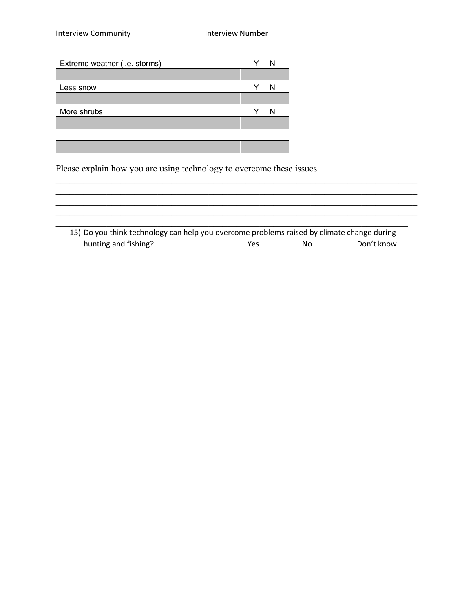| Extreme weather (i.e. storms) |  |
|-------------------------------|--|
|                               |  |
| Less snow                     |  |
|                               |  |
| More shrubs                   |  |
|                               |  |
|                               |  |

<u> 1989 - Johann Stoff, Amerikaansk politiker (</u>

Please explain how you are using technology to overcome these issues.

| 15) Do you think technology can help you overcome problems raised by climate change during |     |    |            |
|--------------------------------------------------------------------------------------------|-----|----|------------|
| hunting and fishing?                                                                       | Yes | N٥ | Don't know |

 $\_$  , and the contribution of the contribution of the contribution of the contribution of  $\mathcal{L}_\text{max}$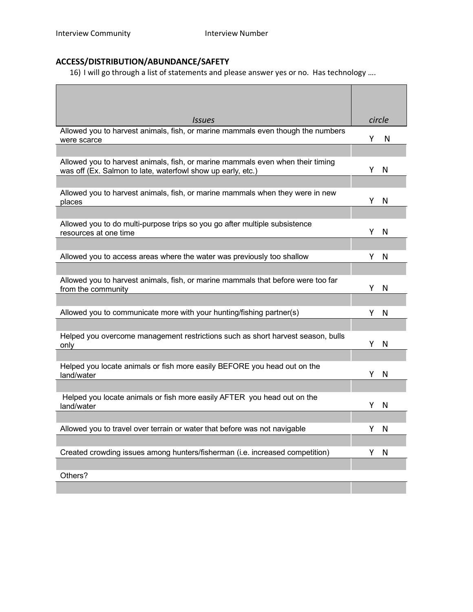# **ACCESS/DISTRIBUTION/ABUNDANCE/SAFETY**

16) I will go through a list of statements and please answer yes or no. Has technology ….

| <i>Issues</i>                                                                                                                                 | circle |   |
|-----------------------------------------------------------------------------------------------------------------------------------------------|--------|---|
| Allowed you to harvest animals, fish, or marine mammals even though the numbers<br>were scarce                                                | Y.     | N |
|                                                                                                                                               |        |   |
| Allowed you to harvest animals, fish, or marine mammals even when their timing<br>was off (Ex. Salmon to late, waterfowl show up early, etc.) | Y      | N |
|                                                                                                                                               |        |   |
| Allowed you to harvest animals, fish, or marine mammals when they were in new<br>places                                                       | Y      | N |
|                                                                                                                                               |        |   |
| Allowed you to do multi-purpose trips so you go after multiple subsistence<br>resources at one time                                           | Y      | N |
|                                                                                                                                               |        |   |
| Allowed you to access areas where the water was previously too shallow                                                                        | Y      | N |
|                                                                                                                                               |        |   |
| Allowed you to harvest animals, fish, or marine mammals that before were too far<br>from the community                                        | Y      | N |
|                                                                                                                                               |        |   |
| Allowed you to communicate more with your hunting/fishing partner(s)                                                                          | Y      | N |
| Helped you overcome management restrictions such as short harvest season, bulls                                                               |        |   |
| only                                                                                                                                          | Υ      | N |
| Helped you locate animals or fish more easily BEFORE you head out on the                                                                      |        |   |
| land/water                                                                                                                                    | Υ      | N |
| Helped you locate animals or fish more easily AFTER you head out on the                                                                       |        |   |
| land/water                                                                                                                                    | Y      | N |
|                                                                                                                                               |        |   |
| Allowed you to travel over terrain or water that before was not navigable                                                                     | Y      | N |
| Created crowding issues among hunters/fisherman (i.e. increased competition)                                                                  | Υ      | N |
|                                                                                                                                               |        |   |
| Others?                                                                                                                                       |        |   |
|                                                                                                                                               |        |   |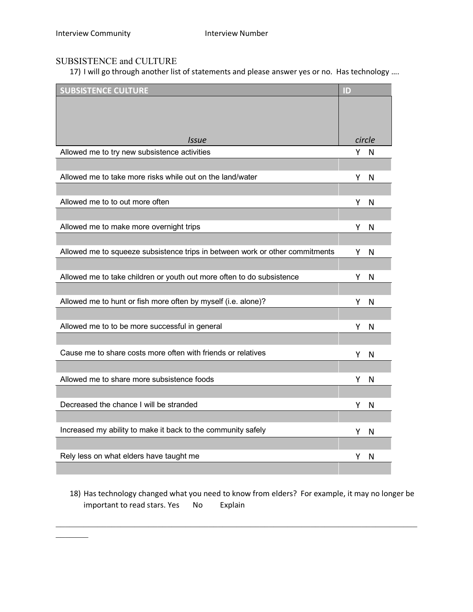$\mathcal{L}_\text{max}$ 

## SUBSISTENCE and CULTURE

17) I will go through another list of statements and please answer yes or no. Has technology ....

| <b>SUBSISTENCE CULTURE</b>                                                   | $\mathbf{L}$ |        |
|------------------------------------------------------------------------------|--------------|--------|
|                                                                              |              |        |
|                                                                              |              |        |
| <b>Issue</b>                                                                 |              | circle |
| Allowed me to try new subsistence activities                                 | Y.           | N      |
|                                                                              |              |        |
| Allowed me to take more risks while out on the land/water                    | Y            | N      |
|                                                                              |              |        |
| Allowed me to to out more often                                              | Y            | N      |
|                                                                              |              |        |
| Allowed me to make more overnight trips                                      | Y            | N      |
|                                                                              |              |        |
| Allowed me to squeeze subsistence trips in between work or other commitments | Y            | N      |
| Allowed me to take children or youth out more often to do subsistence        | Y            | N      |
|                                                                              |              |        |
| Allowed me to hunt or fish more often by myself (i.e. alone)?                | Y            | N      |
|                                                                              |              |        |
| Allowed me to to be more successful in general                               | Y            | N      |
|                                                                              |              |        |
| Cause me to share costs more often with friends or relatives                 | Υ            | N      |
|                                                                              |              |        |
| Allowed me to share more subsistence foods                                   | Y            | N      |
|                                                                              |              |        |
| Decreased the chance I will be stranded                                      | Y            | N      |
| Increased my ability to make it back to the community safely                 |              |        |
|                                                                              | Y.           | N      |
| Rely less on what elders have taught me                                      | Y            | N      |
|                                                                              |              |        |

18) Has technology changed what you need to know from elders? For example, it may no longer be important to read stars. Yes No Explain

 $\_$  , and the contribution of the contribution of the contribution of the contribution of  $\mathcal{L}_\text{max}$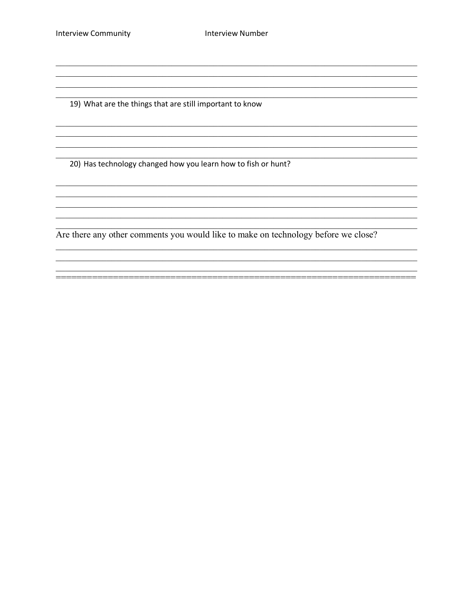19) What are the things that are still important to know

20) Has technology changed how you learn how to fish or hunt?

<u> 1989 - Jan James James Barnett, martin amerikan basar dan berasal dalam basa dalam basa dalam basa dalam basa</u>

Are there any other comments you would like to make on technology before we close?

,我们也不能在这里的人,我们也不能在这里的人,我们也不能在这里的人,我们也不能在这里的人,我们也不能在这里的人,我们也不能在这里的人,我们也不能在这里的人,我们也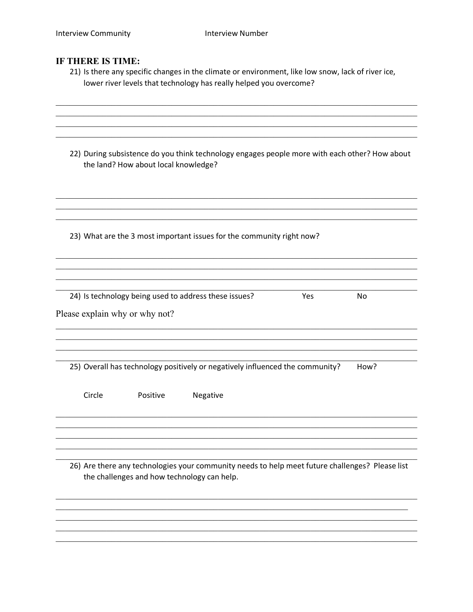#### IF THERE IS TIME:

21) Is there any specific changes in the climate or environment, like low snow, lack of river ice, lower river levels that technology has really helped you overcome?

| 22) During subsistence do you think technology engages people more with each other? How about |
|-----------------------------------------------------------------------------------------------|
| the land? How about local knowledge?                                                          |

23) What are the 3 most important issues for the community right now?

| 24) Is technology being used to address these issues?<br>Yes.<br>N٥ |  |
|---------------------------------------------------------------------|--|
|---------------------------------------------------------------------|--|

Please explain why or why not?

25) Overall has technology positively or negatively influenced the community? How?

Circle Positive Negative

26) Are there any technologies your community needs to help meet future challenges? Please list the challenges and how technology can help.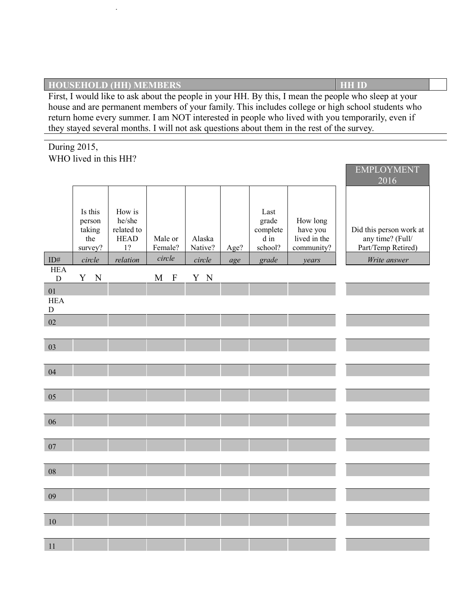## **HOUSEHOLD (HH) MEMBERS HE ID** First, I would like to ask about the people in your HH. By this, I mean the people who sleep at your house and are permanent members of your family. This includes college or high school students who return home every summer. I am NOT interested in people who lived with you temporarily, even if they stayed several months. I will not ask questions about them in the rest of the survey.

EMPLOYMENT

During 2015, WHO lived in this HH?

Interview Community Interview Number

|                               |                                               |                                                     |                            |                   |      |                                              |                                                    | <b>EIMILLO LIMETAT</b><br>2016                                    |
|-------------------------------|-----------------------------------------------|-----------------------------------------------------|----------------------------|-------------------|------|----------------------------------------------|----------------------------------------------------|-------------------------------------------------------------------|
|                               | Is this<br>person<br>taking<br>the<br>survey? | How is<br>he/she<br>related to<br><b>HEAD</b><br>1? | Male or<br>Female?         | Alaska<br>Native? | Age? | Last<br>grade<br>complete<br>d in<br>school? | How long<br>have you<br>lived in the<br>community? | Did this person work at<br>any time? (Full/<br>Part/Temp Retired) |
| ID#                           | circle                                        | relation                                            | circle                     | circle            | age  | grade                                        | years                                              | Write answer                                                      |
| <b>HEA</b><br>${\bf D}$       | ${\bf N}$<br>Y                                |                                                     | $\mathbf M$<br>$\mathbf F$ | Y N               |      |                                              |                                                    |                                                                   |
| 01<br><b>HEA</b><br>${\bf D}$ |                                               |                                                     |                            |                   |      |                                              |                                                    |                                                                   |
| 02                            |                                               |                                                     |                            |                   |      |                                              |                                                    |                                                                   |
|                               |                                               |                                                     |                            |                   |      |                                              |                                                    |                                                                   |
| 03                            |                                               |                                                     |                            |                   |      |                                              |                                                    |                                                                   |
|                               |                                               |                                                     |                            |                   |      |                                              |                                                    |                                                                   |
| 04                            |                                               |                                                     |                            |                   |      |                                              |                                                    |                                                                   |
| 05                            |                                               |                                                     |                            |                   |      |                                              |                                                    |                                                                   |
|                               |                                               |                                                     |                            |                   |      |                                              |                                                    |                                                                   |
| 06                            |                                               |                                                     |                            |                   |      |                                              |                                                    |                                                                   |
|                               |                                               |                                                     |                            |                   |      |                                              |                                                    |                                                                   |
| $07\,$                        |                                               |                                                     |                            |                   |      |                                              |                                                    |                                                                   |
|                               |                                               |                                                     |                            |                   |      |                                              |                                                    |                                                                   |
| 08                            |                                               |                                                     |                            |                   |      |                                              |                                                    |                                                                   |
|                               |                                               |                                                     |                            |                   |      |                                              |                                                    |                                                                   |
| 09                            |                                               |                                                     |                            |                   |      |                                              |                                                    |                                                                   |
|                               |                                               |                                                     |                            |                   |      |                                              |                                                    |                                                                   |
| 10                            |                                               |                                                     |                            |                   |      |                                              |                                                    |                                                                   |
|                               |                                               |                                                     |                            |                   |      |                                              |                                                    |                                                                   |
| 11                            |                                               |                                                     |                            |                   |      |                                              |                                                    |                                                                   |